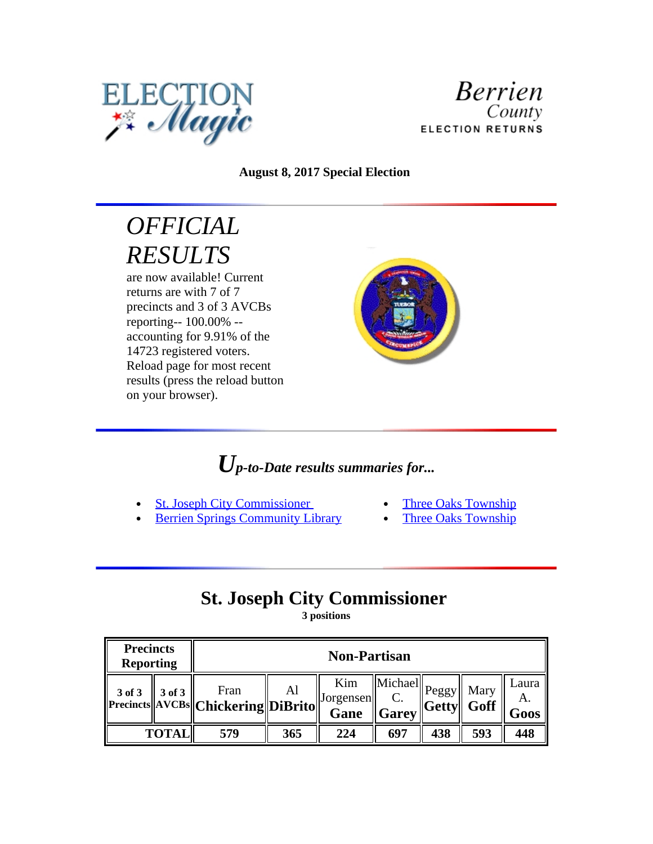



#### **August 8, 2017 Special Election**

# *OFFICIAL RESULTS*

are now available! Current returns are with 7 of 7 precincts and 3 of 3 AVCBs reporting-- 100.00% - accounting for 9.91% of the 14723 registered voters. Reload page for most recent results (press the reload button on your browser).



## *Up-to-Date results summaries for...*

- St. Joseph City Commissioner
	- Berrien Springs Community Library
- Three Oaks Township
- Three Oaks Township

## **St. Joseph City Commissioner**

**3 positions**

| <b>Precincts</b><br><b>Reporting</b> |        |                                                 | <b>Non-Partisan</b> |                                          |                                                          |                      |      |                     |  |
|--------------------------------------|--------|-------------------------------------------------|---------------------|------------------------------------------|----------------------------------------------------------|----------------------|------|---------------------|--|
| 3 of 3                               | 3 of 3 | Fran<br>  Precincts  AVCBs  Chickering  DiBrito | Al                  | Kim<br>$\vert$ Jorgensen $\vert$<br>Gane | $\ \widehat{\text{Michael}}\ _{\text{Peggy}}\ $<br>Garey | $\ $ Getty $\ $ Goff | Mary | Laura<br>Α.<br>Goos |  |
| <b>TOTAL</b>                         |        | 579                                             | 365                 | 224                                      | 697                                                      | 438                  | 593  | 448                 |  |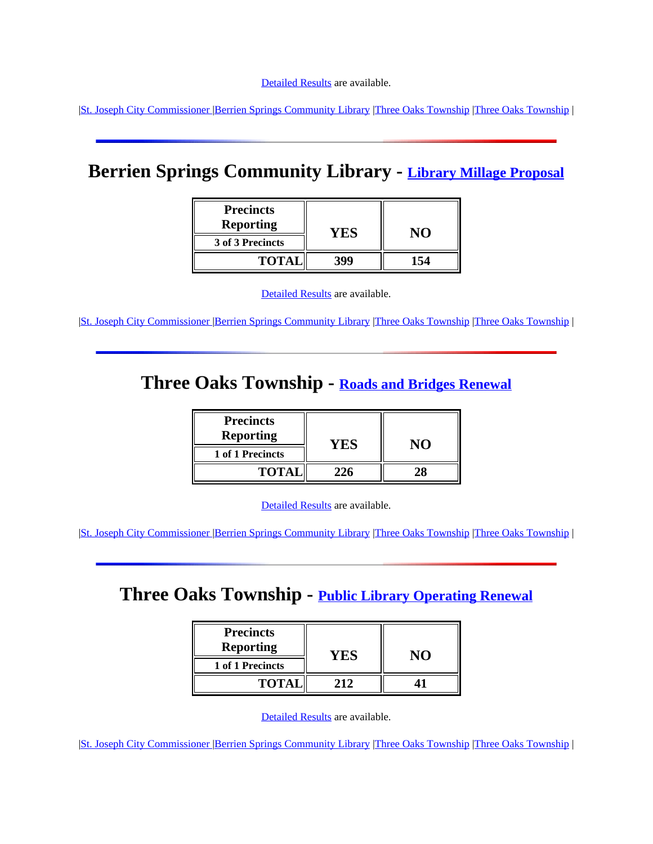|St. Joseph City Commissioner |Berrien Springs Community Library |Three Oaks Township |Three Oaks Township |

## **Berrien Springs Community Library - Library Millage Proposal**

| <b>Precincts</b><br><b>Reporting</b> | Y H. |  |  |
|--------------------------------------|------|--|--|
| 3 of 3 Precincts                     |      |  |  |
| <b>TOTA</b>                          | 399  |  |  |

|  |  |  |  | <b>Detailed Results</b> are available. |
|--|--|--|--|----------------------------------------|
|--|--|--|--|----------------------------------------|

|St. Joseph City Commissioner |Berrien Springs Community Library |Three Oaks Township |Three Oaks Township |

### **Three Oaks Township - Roads and Bridges Renewal**

| <b>Precincts</b><br><b>Reporting</b> |     |  |
|--------------------------------------|-----|--|
| 1 of 1 Precincts                     | YES |  |
| <b>TOTAl</b>                         |     |  |

[Detailed Results](file:///G:\\CLERK\\ELECTIONS\\Archive%20Election%20Magic%20Results\\B11.Archive\\B11\\2017\\augspec\\B11results\\B1100101002.htm) are available.

|St. Joseph City Commissioner |Berrien Springs Community Library |Three Oaks Township |Three Oaks Township |

### **Three Oaks Township - Public Library Operating Renewal**

| <b>Precincts</b><br><b>Reporting</b> |      |  |  |
|--------------------------------------|------|--|--|
| 1 of 1 Precincts                     | Y ES |  |  |
| <b>TOTAL</b>                         | 212  |  |  |

[Detailed Results](file:///G:\\CLERK\\ELECTIONS\\Archive%20Election%20Magic%20Results\\B11.Archive\\B11\\2017\\augspec\\B11results\\B1100101003.htm) are available.

|St. Joseph City Commissioner |Berrien Springs Community Library |Three Oaks Township |Three Oaks Township |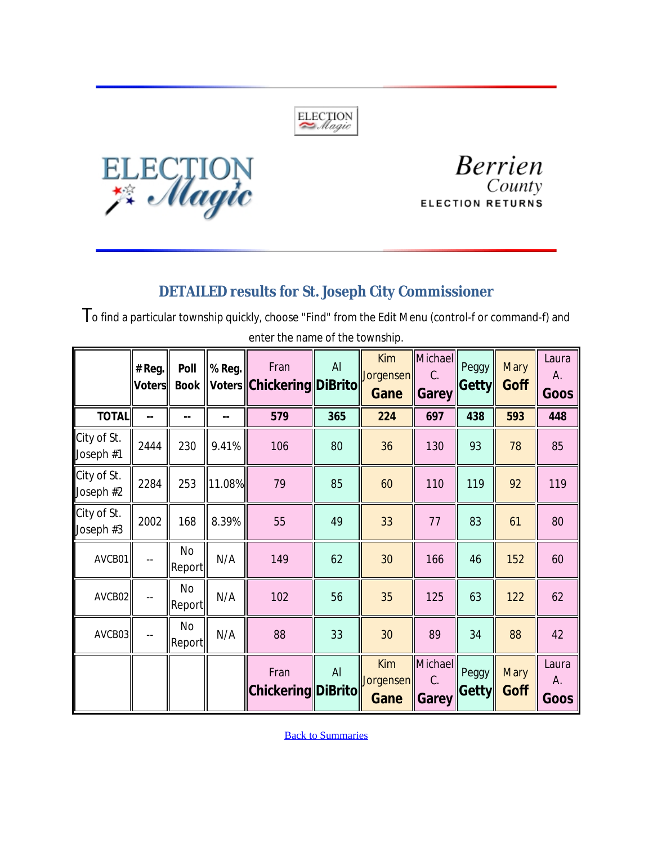



**Berrien** County **ELECTION RETURNS** 

#### *DETAILED results for St. Joseph City Commissioner*

To find a particular township quickly, choose "Find" from the Edit Menu (control-f or command-f) and enter the name of the township.  $\equiv$ 

|                          | # Reg.<br><b>Voters</b> | Poll<br><b>Book</b> | % Reg. | Fran<br>Voters Chickering DiBrito | Al  | <b>Kim</b><br>Jorgensen<br>Gane | Michael<br>C.<br><b>Garey</b> | Peggy<br><b>Getty</b> | <b>Mary</b><br>Goff | Laura<br>А.<br>Goos |
|--------------------------|-------------------------|---------------------|--------|-----------------------------------|-----|---------------------------------|-------------------------------|-----------------------|---------------------|---------------------|
| <b>TOTAL</b>             | --                      |                     | --     | 579                               | 365 | 224                             | 697                           | 438                   | 593                 | 448                 |
| City of St.<br>Joseph #1 | 2444                    | 230                 | 9.41%  | 106                               | 80  | 36                              | 130                           | 93                    | 78                  | 85                  |
| City of St.<br>Joseph #2 | 2284                    | 253                 | 11.08% | 79                                | 85  | 60                              | 110                           | 119                   | 92                  | 119                 |
| City of St.<br>Joseph #3 | 2002                    | 168                 | 8.39%  | 55                                | 49  | 33                              | 77                            | 83                    | 61                  | 80                  |
| AVCB01                   |                         | No<br>Report        | N/A    | 149                               | 62  | 30                              | 166                           | 46                    | 152                 | 60                  |
| AVCB02                   |                         | No<br> Report       | N/A    | 102                               | 56  | 35                              | 125                           | 63                    | 122                 | 62                  |
| AVCB03                   |                         | No<br>Report        | N/A    | 88                                | 33  | 30                              | 89                            | 34                    | 88                  | 42                  |
|                          |                         |                     |        | Fran<br><b>Chickering DiBrito</b> | AI  | <b>Kim</b><br>Jorgensen<br>Gane | Michael<br>C.<br>Garey        | Peggy<br><b>Getty</b> | <b>Mary</b><br>Goff | Laura<br>А.<br>Goos |

**Back to Summaries**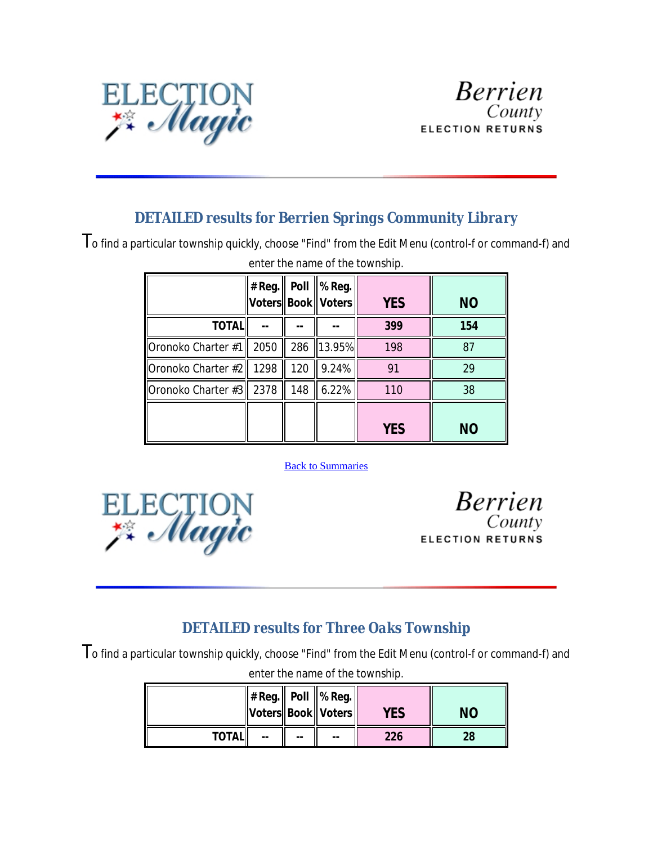

#### *DETAILED results for Berrien Springs Community Library*

To find a particular township quickly, choose "Find" from the Edit Menu (control-f or command-f) and

|                           | $#$ Reg. |     | Poll $\ $ % Reg.<br>Voters    Book    Voters | <b>YES</b> | <b>NO</b> |
|---------------------------|----------|-----|----------------------------------------------|------------|-----------|
| <b>TOTAL</b>              |          |     |                                              | 399        | 154       |
| Oronoko Charter #1        | 2050     | 286 | $\ 13.95\%$                                  | 198        | 87        |
| Oronoko Charter #2   1298 |          | 120 | 9.24%                                        | 91         | 29        |
| Oronoko Charter #3   2378 |          | 148 | 6.22%                                        | 110        | 38        |
|                           |          |     |                                              | <b>YES</b> | <b>NO</b> |

#### enter the name of the township.

#### **Back to Summaries**



**Berrien** County **ELECTION RETURNS** 

### *DETAILED results for Three Oaks Township*

To find a particular township quickly, choose "Find" from the Edit Menu (control-f or command-f) and

|              |    |    | $  # Reg.  $ Poll $  %$ Reg.<br>  Voters  Book   Voters | YES | NΟ |
|--------------|----|----|---------------------------------------------------------|-----|----|
| <b>TOTAL</b> | -- | -- | --                                                      | 226 | 28 |

enter the name of the township.